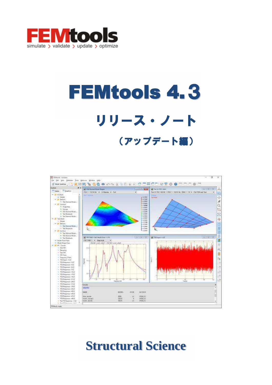

# FEMtools 4.3 リリース・ノート (アップデート編)



# **Structural Science**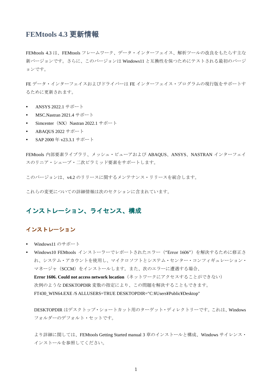# **FEMtools 4.3** 更新情報

FEMtools 4.3 は、FEMtools フレームワーク、データ・インターフェイス、解析ツールの改良をもたらす主な 新バージョンです。さらに、このバージョンは Windows11 と互換性を保つためにテストされる最初のバージ ョンです。

FE データ・インターフェイスおよびドライバーは FE インターフェイス・プログラムの現行版をサポートす るために更新されます。

- ANSYS 2022.1  $\#$  $\#$  $\div$   $\vdash$
- MSC.Nastran 2021.4 サポート
- Simcenter (NX) Nastran 2022.1  $\forall \forall \neg \neg \neg$
- ABAQUS 2022  $\forall x \forall -$
- SAP 2000年v23.3.1 サポート

FEMtools 内部要素ライブラリ、メッシュ・ビューアおよび ABAQUS、ANSYS、NASTRAN インターフェイ スのリニア・シェープ・二次ピラミッド要素をサポートします。

このバージョンは、v4.2 のリリースに関するメンテナンス・リリースを統合します。

これらの変更についての詳細情報は次のセクションに含まれています。

# インストレーション、ライセンス、構成

#### インストレーション

- Windows11 のサポート
- Windows10 FEMtools インストーラーでレポートされたエラー ("Error 1606") を解決するために修正さ れ、システム・アカウントを使用し、マイクロソフトとシステム・センター・コンフィギュレーション・ マネージャ (SCCM) をインストールします。また、次のエラーに遭遇する場合、

Error 1606. Could not access network location (ネットワークにアクセスすることができない) 次例のような DESKTOPDIR 変数の指定により、この問題を解決することもできます。 FT430\_WIN64.EXE /S ALLUSERS=TRUE DESKTOPDIR="C:¥Users¥Public¥Desktop"

DESKTOPDIR はデスクトップ・ショートカット用のターゲット・ディレクトリーです。これは、Windows フォルダーのデフォルト・セットです。

より詳細に関しては、FEMtools Getting Started manual 3 章のインストールと構成、Windows サイレンス· インストールを参照してください。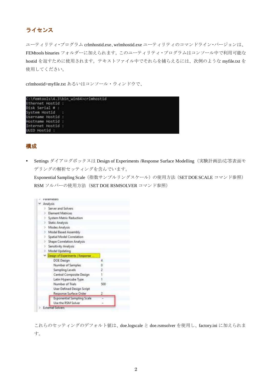# ライセンス

ユーティリティ・プログラム crlmhostid.exe、wrlmhostid.exe ユーティリティのコマンドライン・バージョンは、 FEMtools binaries フォルダーに加えられます。このユーティリティ・プログラムはコンソール中で利用可能な hostid を返すために使用されます。テキストファイル中でそれらを捕らえるには、次例のような myfile.txt を 使用してください。

crlmhostid>myfile.txt あるいはコンソール・ウィンドウで、

|                   | C:\femtools\4.3\bin win64>crlmhostid |
|-------------------|--------------------------------------|
| Ethernet Hostid : |                                      |
| Disk Serial # :   |                                      |
| System Hostid     | $-1$                                 |
| Username Hostid : |                                      |
| Hostname Hostid : |                                      |
| Internet Hostid : |                                      |
| UUID Hostid :     |                                      |

#### 構成

Settings ダイアログボックスは Design of Experiments /Response Surface Modelling (実験計画法/応答表面モ デリングの解析セッティングを含んでいます。

Exponential Sampling Scale (指数サンプルリングスケール)の使用方法 (SET DOE SCALE コマンド参照) RSM ソルバーの使用方法 (SET DOE RSMSOLVER コマンド参照)

| arameters                            |     |
|--------------------------------------|-----|
| Analysis                             |     |
| Server and Solvers                   |     |
| <b>Element Matrices</b>              |     |
| System Matrix Reduction              |     |
| Static Analysis<br>×                 |     |
| Modes Analysis<br>D.                 |     |
| Modal Based Assembly<br>D.           |     |
| Spatial Model Correlation            |     |
| Shape Correlation Analysis<br>$\sim$ |     |
| Sensitivity Analysis<br>к            |     |
| Model Updating<br>y.                 |     |
| Design of Experiments / Response     |     |
| <b>DOE Design</b>                    | 4.  |
| Number of Samples                    | o   |
| Sampling Levels                      |     |
| Central Composite Design-            |     |
| Latin Hypercube Type                 |     |
| Number of Trials                     | 500 |
| <b>User Defined Design Script</b>    |     |
| Response Surface Order               |     |
| Exponential Sampling Scale           |     |
| Use the RSM Solver                   |     |
| <b>External Solvers</b>              |     |

これらのセッティングのデフォルト値は、doe.logscale と doe.rsmsolver を使用し、factory.ini に加えられま す。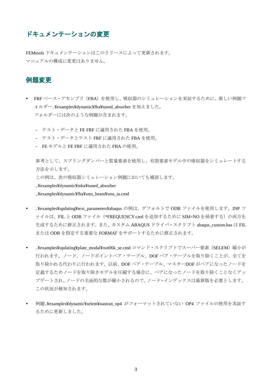#### ドキュメンテーションの変更

FEMtools ドキュメンテーションはこのリリースによって更新されます。 マニュアルの構成に変更はありません。

## 例題変更

- FRFベース・アセンブリ (FBA) を使用し、吸収器のシミュレーションを実証するために、新しい例題フ オルダー..¥examples¥dynamic¥fba¥tuned absorber を加えました。 フォルダーには次のような例題が含まれます。
	- テスト・データと FE FRF に適用された FBA を使用。
	- テスト・データとテスト FRF に適用された FBA を使用。
	- FE モデルと FE FRF に適用された FBA の使用。

参考として、スプリングダンパーと質量要素を使用し、有限要素モデル中の吸収器をシミュレートする 方法を示します。

この例は、次の吸収器シミュレーション例題においても補語します。

..¥examples¥dynamic¥mba¥tuned\_absorber

..¥examples¥dynamic¥fba¥sms\_beam¥sms\_ta.cmd

- ..¥examples¥updating¥text parameters¥abaqus の例は、デフォルトで ODB ファイルを使用します。INP フ ァイルは、FIL と ODB ファイル (\*FREQUENCY card を追加するために SIM=NO を帰着する) の両方を 生成するために修正されます。また、カスタム ABAQUS ドライバ・スクリプト abaqus custom.bas は FIL またはODB を指定する重要な FORMAT をサポートするために修正されます。
- ..¥examples¥updating¥plate\_modal¥run06k\_se.cmd コマンド・スクリプトでスーパー要素 (SELEM) 縮小が 行われます。ノード、ノードポイントペア・テーブル、DOFペア・テーブルを取り除くことが、全てを 取り除かれる代わりに行われます。以前、DOFペア・テーブル、マスターDOF がペアになったノードを 定義するためノードを取り除きモデルを圧縮する場合に、ペアになったノードを取り除くことなくアッ プデートされ、ノードの全面的な数が縮小されるので、ノード・インデックスは最新版を必要とします。 この状況が検知されます。
- 例題..¥examples¥dynamic¥selem¥nastran\_op4 がフォーマットされていない OP4 ファイルの使用を実証す るために更新しました。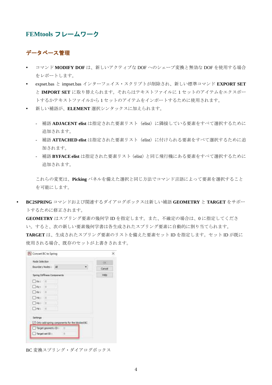#### **FEMtools フレームワーク**

#### データベース管理

- コマンド MODIFY DOF は、新しいアクティブな DOF へのシェープ変換と無効な DOF を使用する場合 をレポートします。
- **-** expset.bas と impset.bas インターフェイス・スクリプトが削除され、新しい標準コマンド EXPORT SET と IMPORT SET に取り替えられます。それらはテキストファイルに1セットのアイテムをエクスポー トするかテキストファイルから1セットのアイテムをインポートするために使用されます。
- 新しい補語が、ELEMENT 選択シンタックスに加えられます。
	- 補語 ADJACENT elist は指定された要素リスト (elist) に隣接している要素をすべて選択するために 追加されます。
	- 補語 ATTACHED elist は指定された要素リスト (elist) に付けられる要素をすべて選択するために追 加されます。
	- 補語 BYFACE elist は指定された要素リスト (elist) と同じ飛行機にある要素をすべて選択するために 追加されます。

これらの変更は、Picking パネルを備えた選択と同じ方法でコマンド言語によって要素を選択すること を可能にします。

BC2SPRING コマンドおよび関連するダイアログボックスは新しい補語 GEOMETRY と TARGET をサポー トするために修正されます。

**GEOMETRY** はスプリング要素の幾何学 ID を指定します。また、不確定の場合は、0 に指定してくださ い。すると、次の新しい要素幾何学書は各生成されたスプリング要素に自動的に割り当てられます。 TARGETは、生成されたスプリング要素のリストを備えた要素セットID を指定します。セットID が既に 使用される場合、既存のセットが上書きされます。

| Node Selection                                | <b>DE</b> |
|-----------------------------------------------|-----------|
| Boundary Nodes   MI                           | Cancel    |
| Spring Stiffness Consomerts                   | Help      |
| $Nx + 0$                                      |           |
| $E$ $S_{F}$ : $\alpha$                        |           |
| Ket a                                         |           |
| $-$ HKT $-0$                                  |           |
| EHVI 0                                        |           |
| $\Box$ He: 0                                  |           |
| Settings                                      |           |
| Only add-spring components for the blocked BC |           |
|                                               |           |
| Target geometry ID                            |           |

BC 変換スプリング・ダイアログボックス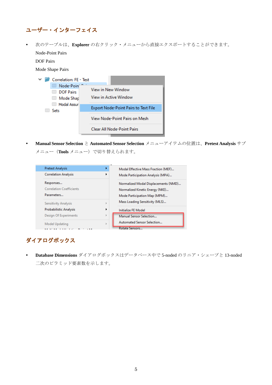# ユーザー・インターフェイス

• 次のテーブルは、Explorer の右クリック·メニューから直接エクスポートすることができます。 Node-Point Pairs

DOF Pairs

Mode Shape Pairs

|  |  |             | Correlation: FE - Test                                    |                                             |                               |
|--|--|-------------|-----------------------------------------------------------|---------------------------------------------|-------------------------------|
|  |  | 匪<br>ш<br>囲 | Node-Poin<br><b>DOF Pairs</b><br>Mode Shap<br>Modal Assur | View in New Window<br>View in Active Window |                               |
|  |  | Sets        |                                                           | Export Node-Point Pairs to Text File        |                               |
|  |  |             |                                                           |                                             | View Node-Point Pairs on Mesh |
|  |  |             |                                                           | <b>Clear All Node-Point Pairs</b>           |                               |

• Manual Sensor Selection と Automated Sensor Selection メニューアイテムの位置は、Pretest Analysis サブ

メニュー (Tools メニュー)で切り替えられます。

| Pretest Analysis                |    | Modal Effective Mass Fraction (MEF)  |
|---------------------------------|----|--------------------------------------|
| <b>Correlation Analysis</b>     | ▶  | Mode Participation Analysis (MPA)    |
| Responses                       |    | Normalized Modal Displacements (NMD) |
| <b>Correlation Coefficients</b> |    | Normalized Kinetic Energy (NKE)      |
| Parameters                      |    | Mode Participation Map (MPM)         |
| Sensitivity Analysis            | ь  | Mass Loading Sensitivity (MLS)       |
| Probabilistic Analysis          | ▶  | Initialize FE Model                  |
| Design Of Experiments           | þ. | Manual Sensor Selection              |
| Model Updating                  | þ. | Automated Sensor Selection           |
| <b>CONTRACTOR COMMITMENT</b>    |    | Rotate Sensors                       |

# ダイアログボックス

• Database Dimensions ダイアログボックスはデータベース中で 5-noded のリニア・シェープと 13-noded 二次のピラミッド要素数を示します。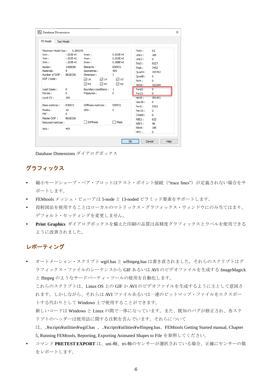| FF Model<br><b>Test Model</b>                                                            |                                                             |                                                                                                                      |                                                                                    |                                                                              |                                                        |  |
|------------------------------------------------------------------------------------------|-------------------------------------------------------------|----------------------------------------------------------------------------------------------------------------------|------------------------------------------------------------------------------------|------------------------------------------------------------------------------|--------------------------------------------------------|--|
| Maximum Model Size:                                                                      | 0.589276                                                    |                                                                                                                      |                                                                                    | Point:                                                                       | 62                                                     |  |
| Xmin:<br>Ymin:<br>Zmin:<br>Nodes:<br>Materials:<br>Number of DOF: 8628336<br>DOF / node: | $-203F + 0$<br>$-.203E + 0$<br>$-.203E + 0$<br>1438056<br>۰ | Xmax:<br>Ymax:<br>Zmax:<br>Elements:<br>Geometries:<br>Dimension:<br>VI ∪X<br>V ∪Y<br>$\sqrt{ }$ RX<br>$\sqrt{ }$ RY | $0.203E + 0$<br>$0.203E + 0$<br>$0.386E + 0$<br>830931<br>405<br>3<br>√ ∪z<br>M RZ | line2:<br>Line3 :<br>Tria3:<br>Tria6:<br>Quad4:<br>Quad8:<br>Teta:<br>Tet10: | 185<br>0<br>9227<br>7432<br>193762<br>0<br>0<br>353309 |  |
| Load Cases:<br>Forces:<br>Local CS:                                                      | 0<br>o<br>200                                               | Boundary conditions:<br>Pressures :                                                                                  | 1<br>n                                                                             | Pyra5:<br>Pyr 13 :<br>Hex8:                                                  | $\overline{0}$<br>0<br>261431                          |  |
| Mass matrices :<br>Modes:<br>FRF:<br>Master DOF:<br><b>Reduced matrices:</b>             | 830931<br>10<br>0<br>8628336                                | Stiffness matrices:<br>ODS:<br><b>Stiffness</b>                                                                      | 830931<br>٥<br>Mass                                                                | Hex20:<br>Pen6 :<br>Pen 15 :<br>CWeld:<br>RBF2:<br>RBE3 :                    | 0<br>5523<br>0<br>0<br>622<br>48                       |  |
| Sets:                                                                                    | 405                                                         |                                                                                                                      |                                                                                    | RBAR:<br>MPC:                                                                | 195<br>0                                               |  |

Database Dimensions ダイアログボックス

## グラフィックス

- 縮小モードシェープ・ペア・プロットはテスト・ポイント接続("trace lines") が定義されない場合をサ ポートします。
- FEMtools メッシュ・ビューアは 5-node と 13-noded ピラミッド要素をサポートします。
- 投射図法を使用することはローカルのマトリックス・グラフィックス・ウィンドウにのみ当てはまり、 デフォルト・セッティングを変更しません。
- Print Graphics ダイアログボックスを備えた印刷の品質は高精度グラフィックスとラベルを使用できる ように改善されました。

# レポーティング

- オートメーション・スクリプト wgif.bas と wffmpeg.bas は書き直されました。それらのスクリプトはグ ラフィックス・ファイルのシーケンスから GIF あるいは AVI のビデオファイルを生成する ImageMagick と ffmpeg のようなサードパーティ・ツールの使用を自動化します。 これらのスクリプトは、Linux OS 上の GIF か AVI のビデオファイルを生成するように主として意図さ れます。しかしながら、それらはAVI ファイルあるいは一連のビットマップ・ファイルをエクスポー トする代わりとして Windows 上で使用することができます。 新しいコードは Windows と Linux の間で一体になっています。また、既知のバグが修正され、各スク リプトのヘッダーは使用法に関する注釈を含んでいます。それらについて は、.¥scripts¥utilities¥wgif.bas 、.¥scripts¥utilities¥wffmpeg.bas、FEMtools Getting Started manual, Chapter 5, Running FEMtools, Reporting, Exporting Animated Shapes to File を参照してください。
- コマンド PRETEST EXPORT は、uni-軸、tri-軸のセンサーが選択されている場合、正確にセンサーの数 をレポートします。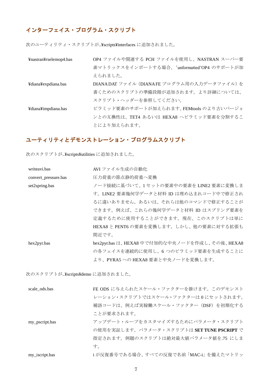# インターフェイス・プログラム・スクリプト

次のユーティリティ・スクリプトが..¥scripts¥interfaces に追加されました。

| ¥nastran¥rselemop4.bas | OP4 ファイルや関連する PCH ファイルを使用し、NASTRAN スーパー要   |
|------------------------|--------------------------------------------|
|                        | 素マトリックスをインポートする場合、'unformatted'OP4 のサポートが加 |
|                        | えられました。                                    |
| ¥diana¥expdiana.bas    | DIANADAT ファイル (DIANAFE プログラム用の入力データファイル)を  |
|                        | 書くためのスクリプトの準備段階が追加されます。より詳細については、          |
|                        | スクリプト・ヘッダーを参照してください。                       |
| ¥diana¥impdiana.bas    | ピラミッド要素のサポートが加えられます。FEMtools のより古いバージョ     |
|                        | ンとの互換性は、TET4 あるいは HEXA8 へピラミッド要素を分割するこ     |
|                        | とにより加えられます。                                |

# ユーティリティとデモンストレーション・プログラムスクリプト

次のスクリプトが..¥scripts¥utilities に追加されました。

| writeavi.bas         | AVI ファイル生成の自動化                                |
|----------------------|-----------------------------------------------|
| convert_pressure.bas | 圧力荷重の節点静的荷重へ変換                                |
| set2spring.bas       | ノード接続に基づいて、1セットの要素中の要素を LINE2 要素に変換しま         |
|                      | す。LINE2 要素幾何学データと材料 ID は埋め込まれコード中で修正され        |
|                      | るに違いありません。あるいは、それらは他のコマンドで修正することが             |
|                      | できます。例えば、これらの幾何学データと材料 ID はスプリング要素を           |
|                      | 定義するために使用することができます。現在、このスクリプトは単に              |
|                      | HEXA8 と PENT6 の要素を変換します。しかし、他の要素に対する拡張も       |
|                      | 間近です。                                         |
| hex2pyr.bas          | hex2pyr.bas は、HEXA8 中で付加的な中央ノードを作成し、その後、HEXA8 |
|                      | の各フェイスを連続的に使用し、6 つのピラミッド要素を生成することに            |
|                      | より、PYRA5 への HEXA8 要素と中央ノードを変換します。             |

次のスクリプトが..¥scripts¥demo に追加されました。

| scale_ods.bas  | FE ODS に与えられたスケール・ファクターを掛けます。このデモンスト      |
|----------------|-------------------------------------------|
|                | レーション・スクリプトではスケール・ファクターは0にセットされます。        |
|                | 補語コードは、例えば実稼働スケール・ファクター (DSF) を初期化する      |
|                | ことが要求されます。                                |
| my_pscript.bas | アップデート・ループをカスタマイズするためにパラメータ・スクリプト         |
|                | の使用を実証します。パラメータ・スクリプトは SET TUNE PSCRIPT で |
|                | 指定されます。例題のスクリプトは絶対最大値パラメータ値を.75 にしま       |
|                | す。                                        |
| my_iscript.bas | iが反復番号である場合、すべての反復で名前「MAC-i」を備えたマトリッ      |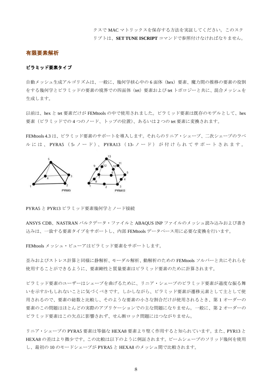クスで MAC マトリックスを保存する方法を実証してください。このスク リプトは、SET TUNE ISCRIPT コマンドで参照付けなければなりません。

#### 有限要素解析

#### ピラミッド要素タイプ

自動メッシュ生成アルゴリズムは、一般に、幾何学核心中の6面体 (hex) 要素、魔力間の推移の要素の役割 をする幾何学とピラミッドの要素の境界での四面体 (tet) 要素および tet トポロジーと共に、混合メッシュを 生成します。

以前は、hex と tet 要素だけが FEMtools の中で使用されました。ピラミッド要素は既存のモデルとして、hex 要素(ピラミッドでの4つのノード、トップの位置)、あるいは2つの tet 要素に変換されます。

FEMtools 4.3 は、ピラミッド要素のサポートを導入します。それらのリニア・シェープ、二次シェープのラベ ルには、PYRA5 (5-ノード)、PYRA13 (13-ノード) が付けられてサポートされます。



PYRA5 と PYR13 ピラミッド要素幾何学とノード接続

ANSYS CDB、NASTRAN バルクデータ・ファイルと ABAOUS INP ファイルのメッシュ読み込みおよび書き 込みは、一致する要素タイプをサポートし、内部 FEMtools データベース用に必要な変換を行います。

FEMtools メッシュ・ビューアはピラミッド要素をサポートします。

歪みおよびストレス計算と同様に静解析、モーダル解析、動解析のための FEMtools ソルバーと共にそれらを 使用することができるように、要素剛性と質量要素はピラミッド要素のために計算されます。

ピラミッド要素のユーザーはシェープを曲げるために、リニア・シェープのピラミッド要素が過度な振る舞 いを示すかもしれないことに気づくべきです。しかしながら、ピラミッド要素が遷移元素として主として使 用されるので、要素の総数と比較し、そのような要素の小さな割合だけが使用されるとき、第1オーダーの 要素のこの問題はほとんどの実際のアプリケーションでの主な問題になりません。一般に、第2オーダーの ピラミッド要素はこの欠点に影響されず、せん断ロック問題にはつながりません。

リニア・シェープの PYRA5 要素は等価な HEXA8 要素より堅く作用すると知られています。また、PYR13 と HEXA8 の差はより微少です。この比較は以下のように例証されます。ビームシェープのソリッド幾何を使用 し、最初の10のモードシェープが PYRA5 と HEXA8 のメッシュ間で比較されます。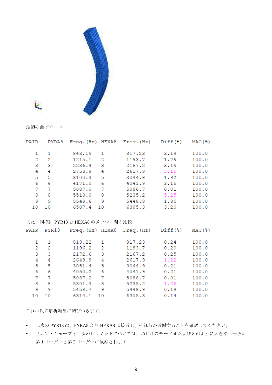

最初の曲げモード

Ŀ.

| PAIR | PYRA5 |                                |     | Freq. (Hz) HERA8 Free. (Hz) Diff (8) |      | MAC(3)  |
|------|-------|--------------------------------|-----|--------------------------------------|------|---------|
| 1    | 1     | 843.19                         | 1   | 817.23                               | 3.18 | 100.0   |
| 2    | 2     | 1215.1                         | 2   | 1193.7                               | 1.79 | 100.0   |
| 3    | 3     | 2236.4                         | 3   | 2167.2                               | 3.19 | 100.0   |
| 4    | 4     | 2753.8                         | 4   | 2617.9                               | 5.19 | 100.0   |
| 5    | 5     | 3100.3                         | 5   | 3044.9                               | 1.82 | 100.0   |
| 6    | 6     | 4171.0                         | 6   | 4041.9                               | 3.19 | 100.0   |
| 7    | 7     | 5087.0                         | 7   | 5086.7                               | 0.01 | 100.0   |
| 8    | 8     | 5510.0                         | 8   | 5235.2                               | 5.25 | 100.0   |
| 9    | 9     | 5549.6                         | - 9 | 5448.9                               | 1.85 | 100.0   |
| 10   | 10    | 6507.4 10                      |     | 6305.3                               | 3,20 | 100.0   |
|      |       |                                |     |                                      |      |         |
|      |       | また、同様に PYR13 と HEXA8 のメッシュ間の比較 |     |                                      |      |         |
| PAIR | PYR13 |                                |     | Freq. (Hz) HERA8 Free. (Hz) Diff (8) |      | MAC (%) |
| 1    | 1     | 819.22                         | 1   | 817.23                               | 0.24 | 100.0   |
| 2    | 2     | 1196.2                         | 2   | 1193.7                               | 0.20 | 100.0   |
| 3    | 3     | 2172.6                         | 3   | 2167.2                               | 0.25 | 100.0   |
| 4    | 4     | 2649.9                         | 4   | 2617.9                               | 1.22 | 100.0   |
| 5    | 5     | 3051.4                         | 5   | 3044.9                               | 0.21 | 100.0   |
| 6    | 6     | 4050.2                         | 6   | 4041.9                               | 0.21 | 100.0   |
| 7    | 7     | 5087.2                         | 7   | 5086.7                               | 0.01 | 100.0   |

これは次の解析結果に結びつきます。

5301.3 8

5458.7 9

6314.1 10

 $\overline{9}$ 

- 9

8 8

10 10

- 二次の PYR13 は、PYRA5 より HEXA8 に接近し、それらが近似することを確認してください。
- リニア・シェープと二次のピラミッドについては、ねじれのモード4 および8 のように大きな不一致が 第1オーダーと第2オーダーに観察されます。

5235.2

5448.9

6305.3

1.26

 $0.18$ 

 $0.14$ 

 $100.0$ 

100.0

100.0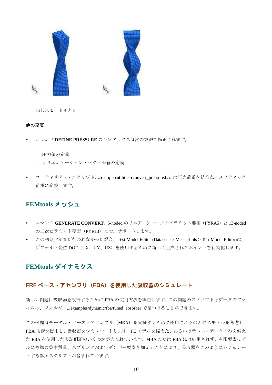

ねじれモード4と8

#### 他の変更

- コマンド DEFINE PRESSURE のシンタックスは次の方法で修正されます。
	- 圧力値の定義
	- オリエンテーション・ベクトル値の定義
- ユーティリティ・スクリプト. ..¥scripts¥utilities¥convert\_pressure.bas は圧力荷重を結節点のスタティック 荷重に変換します。

#### **FEMtools メッシュ**

- コマンド GENERATE CONVERT、5-noded のリニア・シェープのピラミッド要素 (PYRA5) と 13-noded の二次ピラミッド要素 (PYR13) まで、サポートします。
- この初期化がまだ行われなかった場合、Test Model Editor (Database > Mesh Tools > Test Model Editor)は、 デフォルト変位 DOF (UX、UY、UZ) を使用するために新しく生成されたポイントを初期化します。

#### FEMtools ダイナミクス

#### FRF ベース·アセンブリ (FBA) を使用した吸収器のシミュレート

新しい例題は吸収器を設計するために FBA の使用方法を実証します。この例題のスクリプトとデータのファ イルは、フォルダー../examples/dynamic/fba/tuned\_absorber で見つけることができます。

この例題はモーダル・ベース・アセンブリ (MBA) を実証するために使用されるのと同じモデルを考慮し、 FBA 技術を使用し、吸収器をシミュレートします。FE モデルを備えた、あるいはテスト・データのみを備え た FBA を使用した実証例題のいくつかが含まれています。MBA または FBA には応用されず、有限要素モデ ルに標準の集中質量、スプリングおよびダンパー要素を加えることにより、吸収器をこのようにシミュレー トする参照スクリプトが含まれています。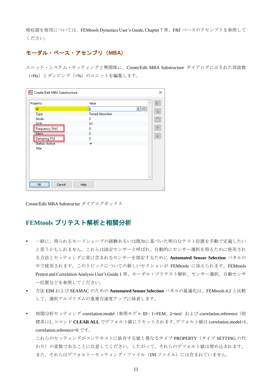吸収器を使用については、FEMtools Dynamics User's Guide, Chapter 7 章、FRF ベースのアセンブリを参照して ください。

#### 示実私識質ベ実ス質仔セン字式㸦**MBA**㸧

ユニット・システム・セッティングと無関係に、Create/Edit MBA Substructure ダイアログに示された周波数 (=Hz) とダンピング (=%) のユニットを編集します。

| Property              | Value                 | $\mathcal{O}_2$      | $\overline{r}$ |
|-----------------------|-----------------------|----------------------|----------------|
| <b>Id</b>             | þ                     | $\rightarrow \infty$ | 号              |
| Type                  | <b>Tuned Absorber</b> |                      |                |
| Node                  | 0                     |                      |                |
| <b>DOE</b>            | U1                    |                      |                |
| Frequency [Hz]        | 0                     |                      | 个              |
| Mass                  | $\bf{0}$              |                      | $\downarrow$   |
| Damping [%]           | 0                     |                      |                |
| <b>Status: Active</b> | ✓                     |                      |                |
| <b>Title</b>          |                       |                      |                |
|                       |                       |                      |                |
|                       |                       |                      |                |
|                       |                       |                      |                |
|                       |                       |                      |                |
|                       |                       |                      |                |

Create/Edit MBA Substructur ダイアログボックス

# FEMtools プリテスト解析と相関分析

- 一般に、得られるモードシェープの経験あるいは既知に基づいた明白なテスト位置を手動で定義したい と思うかもしれません。これらは固定センサーと呼ばれ、自動的にセンサー選択を得るために使用され る方法とセッティングに常に含まれるセンサーを指定するために Automated Sensor Selection パネルの 中で使用されます。このトピックについての新しいセクションが FEMtools に加えられます。FEMtools Pretest and Correlation Analysis User's Guide 1 章、モーダル・プリテスト解析、センサー選択、自動センサ 一位置などを参照してください。
- 方法 EIM および SEAMAC のための Automated Sensor Selection パネルの最適化は、FEMtools 4.2 と比較 して、選択アルゴリズムの重要な速度アップに帰着します。
- 相関分析セッティング correlation.model (参照モデル ID: 1=FEM、2=test) および correlation.reference (座 標系)は、コマンド CLEAR ALL でデフォルト値にリセットされます。デフォルト値は correlation.model=1、 correlation.reference=0 です。

これらのセッティングがコンテキストに依存する値と異なるタイプ PROPERTY (タイプ SETTING の代 わり)の変数であることに注意してください。したがって、それらのデフォルト値は埋め込まれます。 また、それらはデフォルト・セッティング・ファイル (INIファイル)には含まれていません。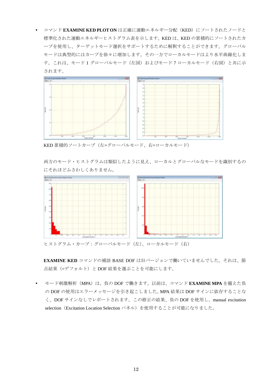コマンド EXAMINE KED PLOT ON は正確に運動エネルギー分配 (KED) にソートされたノードと 標準化された運動エネルギーヒストグラム表を示します。KED は、KED の累積的にソートされたカ ーブを使用し、ターゲットモード選択をサポートするために解釈することができます。グローバル モードは典型的にはカーブを徐々に増加します。その一方でローカルモードはより水平曲線化しま す。これは、モード1グローバルモード(左図)およびモード7ローカルモード(右図)と共に示 されます。



KED 累積的ソートカーブ(左=グローバルモード、右=ローカルモード)

両方のモード・ヒストグラムは類似したように見え、ローカルとグローバルなモードを識別するの にそれほどふさわしくありません。



ヒストグラム・カーブ:グローバルモード(左)、ローカルモード(右)

EXAMINE KED コマンドの補語 BASE DOF は旧バージョンで働いていませんでした。それは、節 点結果(=デフォルト)とDOF結果を選ぶことを可能にします。

モード刺激解析 (MPA) は、負の DOF で働きます。以前は、コマンド EXAMINE MPA を備えた負 の DOF の使用はエラーメッセージを引き起こしました。MPA 結果は DOF サインに依存することな く、DOF サインなしでレポートされます。この修正の結果、負のDOF を使用し、manual excitation selection (Excitation Location Selection パネル)を使用することが可能になりました。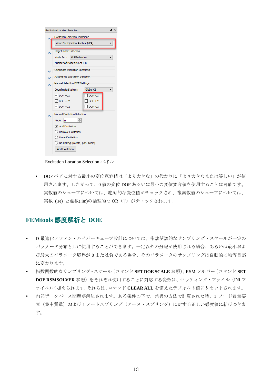| <b>Excitation Location Selection</b><br>A x |                                       |                  |  |  |  |  |
|---------------------------------------------|---------------------------------------|------------------|--|--|--|--|
|                                             | <b>Excitation Selection Technique</b> |                  |  |  |  |  |
|                                             | Mode Participation Analyis (MPA)      |                  |  |  |  |  |
|                                             | <b>Target Mode Selection</b>          |                  |  |  |  |  |
|                                             | All FEA Modes<br>Mode Set :           |                  |  |  |  |  |
|                                             | Number of Modes in Set: 10            |                  |  |  |  |  |
|                                             | <b>Candidate Excitation Locations</b> |                  |  |  |  |  |
|                                             | <b>Automated Excitation Selection</b> |                  |  |  |  |  |
|                                             | Manual Selection DOF Settings         |                  |  |  |  |  |
|                                             | Coordinate System:                    | <b>Global CS</b> |  |  |  |  |
|                                             | $\vee$ DOF +UX                        | DOF-UX           |  |  |  |  |
|                                             | O DOF +UY                             | DOF-UY           |  |  |  |  |
|                                             | $\sqrt{}$ DOF +UZ                     | DOF-UZ           |  |  |  |  |
|                                             | Manual Excitation Selection           |                  |  |  |  |  |
|                                             | ÷<br>Node: $ 0 $                      |                  |  |  |  |  |
|                                             | Add Excitation                        |                  |  |  |  |  |
|                                             | ○ Remove Excitation                   |                  |  |  |  |  |
|                                             | ◯ Move Excitation                     |                  |  |  |  |  |
|                                             | () No Picking (Rotate, pan, zoom)     |                  |  |  |  |  |
|                                             | <b>Add Excitation</b>                 |                  |  |  |  |  |

Excitation Location Selection パネル

• DOF ペアに対する最小の変位寛容値は「より大きな」の代わりに「より大きなまたは等しい」が使 用されます。したがって、0 値の変位 DOF あるいは最小の変位寛容値を使用することは可能です。 実数値のシェープについては、絶対的な変位値がチェックされ、複素数値のシェープについては、 実数 (.re) と虚数(.im)の論理的な OR (||') がチェックされます。

# **FEMtools** 感度解析と **DOE**

- D 最適化とラテン・ハイパーキューブ設計については、指数関数的なサンプリング・スケールが一定の パラメータ分布と共に使用することができます。一定以外の分配が使用される場合、あるいは最小およ び最大のパラメータ境界が0または負である場合、そのパラメータのサンプリングは自動的に均等目盛 に変わります。
- 指数関数的なサンプリング·スケール (コマンド SET DOE SCALE 参照)、RSM ソルバー (コマンド SET DOE RSMSOLVER 参照)をそれぞれ使用することに対応する変数は、セッティング・ファイル (INI フ ァイル)に加えられます。それらは、コマンド CLEAR ALL を備えたデフォルト値にリセットされます。
- 内部データベース問題が解決されます。ある条件の下で、差異の方法で計算された時、1 ノード質量要 素(集中質量)および1ノードスプリング (アース・スプリング)に対する正しい感度値に結びつきま す。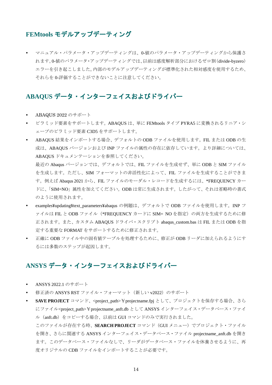#### FEMtools モデルアップデーティング

マニュアル・パラメータ・アップデーティングは、0-値のパラメータ・アップデーティングから保護さ れます。0-値のパラメータ·アップデーティングでは、以前は感度解析部分におけるゼロ割(divide-byzero) エラーを引き起こしました。内部のモデルアップデーティングが標準化された相対感度を使用するため、 それらを0-評価することができないことに注意してください。

# ABAQUS データ・インターフェイスおよびドライバー

- ABAQUS  $2022$  のサポート
- ピラミッド要素をサポートします。ABAQUS は、単に FEMtools タイプ PYRA5 に変換されるリニア・シ ェープのピラミッド要素 C3D5 をサポートします。
- ABAQUS 結果をインポートする場合、デフォルトの ODB ファイルを使用します。FIL または ODB の生 成は、ABAQUS バージョンおよび INP ファイルの属性の存在に依存しています。より詳細については、 ABAQUS ドキュメンテーションを参照してください。

最近の Abaqus バージョンでは、デフォルトでは、FIL ファイルを生成せず、単にODB と SIM ファイル を生成します。ただし、SIM フォーマットの非活性化によって、FIL ファイルを生成することができま す。例えば Abaqus 2021 から、FIL ファイルのモーダル・レコードを生成するには、\*FREQUENCY カー ドに、「SIM=NO」属性を加えてください。ODB は常に生成されます。したがって、それは省略時の書式 のように使用されます。

- examples¥updating¥text\_parameters¥abaqus の例題は、デフォルトで ODB ファイルを使用します。INP フ ァイルは FIL と ODB ファイル (\*FREQUENCY カードに SIM= NO を指定)の両方を生成するために修 正されます。また、カスタム ABAQUS ドライバ・スクリプト abaqus\_custom.bas は FIL または ODB を指 定する重要な FORMAT をサポートするために修正されます。
- 正確に ODB ファイル中の固有値テーブルを処理するために、修正が ODB リーダに加えられるようにす るには多数のステップが起因します。

# ANSYS データ・インターフェイスおよびドライバー

- ANSYS 2022.1 のサポート
- 修正済の ANSYS RST ファイル・フォーマット (新しい v2022) のサポート
- SAVE PROJECT コマンド、<project\_path>¥projectname.fpj として、プロジェクトを保存する場合、さら にファイル<project\_path>¥projectname\_anft.db として ANSYS インターフェイス・データベース・ファイ ル (anft.db) をコピーする場合、以前は GUI コマンドのみで実行されました。

このファイルが存在する時、SEARCH PROJECT コマンド (GUI メニュー) でプロジェクト・ファイル を開き、さらに関連する ANSYS インターフェイス・データベース・ファイル projectname\_anft.db を開き ます。このデータベース・ファイルなしで、リーダがデータベース・ファイルを休養させるように、再 度オリジナルの CDB ファイルをインポートすることが必要です。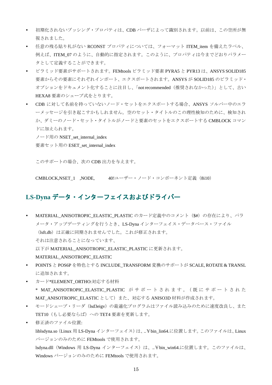- 初期化されないブッシング・プロパティは、CDB パーザによって識別されます。以前は、この空所が無 視されました。
- 任意の残る貼り札がない RCONST プロパティについては、フォーマット ITEM\_item を備えたラベル、 例えば、ITEM\_07 のように、自動的に指定されます。このように、プロパティは今までどおりパラメー タとして定義することができます。
- ピラミッド要素がサポートされます。FEMtools ピラミッド要素 PYRA5 と PYR13 は、ANSYS SOLID185 要素からその要素にそれぞれインポート、エクスポートされます。ANSYS が SOLID185 のピラミッド・ オプションをドキュメント化することに注目し、「not recommended (推奨されなかった)」として、古い HEXA8 要素のシェープ式をとります。
- CDB に対して名前を持っていないノード・セットをエクスポートする場合、ANSYS ソルバー中のエラ ーメッセージを引き起こすかもしれません。空のセット・タイトルのこの理性検知のために、検知され か、ダミーのノード・セット・タイトルがノードと要素のセットをエクスポートする CMBLOCK コマン ドに加えられます。

ノード用の NSET\_set\_internal\_index

要素セット用の ESET\_set\_internal\_index

このサポートの場合、次の CDB 出力を与えます。

CMBLOCK,NSET\_1 ,NODE, 40!蒔実孜実質賜実詩質思ン治実資ン詞定義㸦8i10㸧

# LS-Dyna データ・インターフェイスおよびドライバー

- MATERIAL\_ANISOTROPIC\_ELASTIC\_PLASTIC のカード定義中のコメント (\$#) の存在により、パラ メータ・アップデーティングを行うとき、LS-Dyna インターフェイス・データベース・ファイル (1sft.db)は正確に同期されませんでした。これが修正されます。 それは注意されることになっています、 以下が MATERIAL\_ANISOTROPIC\_ELASTIC\_PLASTIC に更新されます。 MATERIAL\_ANISOTROPIC\_ELASTIC
- POINTS と POS6P を特色とする INCLUDE\_TRANSFORM 変換のサポートが SCALE, ROTATE & TRANSL に追加されます。
- カード\*ELEMENT\_ORTHO:対応する材料 \* MAT ANISOTROPIC ELASTIC PLASTIC がサポートされます。 (既にサポートされた MAT\_ANISOTROPIC\_ELASTIC として) また、対応する ANISO3D 材料が作成されます。
- モードシェープ・リーダ (Isd3eigv) の最適化プログラムはファイル読み込みのために速度改良し、また TET10 (もし必要ならば)への TET4 要素を更新します。
- 修正済のファイル位置:

liblsdyna.so (Linux 用 LS-Dyna インターフェイス)は、..¥bin\_lin64.に位置します。このファイルは、Linux バージョンのみのために FEMtools で使用されます。

lsdyna.dll (Windows 用 LS-Dyna インターフェイス) は、..¥bin\_win64.に位置します。このファイルは、 Windows バージョンのみのために FEMtools で使用されます。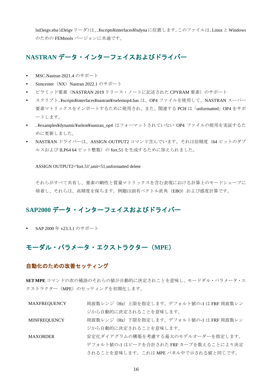lsd3eigv.eba(d3eigvリーダ)は、.¥scripts¥interfaces¥lsdynaに位置します。このファイルは、LinuxとWindows のための FEMtools バージョンに共通です。

# NASTRAN データ・インターフェイスおよびドライバー

- MSC.Nastran 2021.4 のサポート
- Simcenter  $(NX)$  Nastran 2022.1 のサポート
- ピラミッド要素 (NASTRAN 2019 リリース・ノートに記述された CPYRAM 要素) のサポート
- スクリプト..¥scripts¥interfaces¥nastran¥rselemop4.bas は、OP4 ファイルを使用して、NASTRAN スーパー 要素マトリックスをインポートするために使用され、また、関連する PCH は「unformatted」OP4 をサポ ートします。
- ..¥examples¥dynamic¥selem¥nastran\_op4 はフォーマットされていない OP4 ファイルの使用を実証するた めに更新しました。
- NASTRAN ドライバーは、ASSIGN OUTPUT2 コマンド含んでいます。それは倍精度 (64 ビットのダブ ルスおよび ILP64 64 ビット整数)の fort.51 を生成するために加えられました。

ASSIGN OUTPUT2='fort.51',unit=51,unformatted delete

それらがすべて共有し、要素の剛性と質量マトリックスを含む表現における計算上のモードシェープに 帰着し、それらは、高精度を保ちます。例題は固有ベクトル直角 (EBO) および感度計算です。

## SAP2000 データ・インターフェイスおよびドライバー

• SAP 2000年 v23.3.1 のサポート

#### モーダル・パラメータ・エクストラクター (MPE)

#### 自動化のための改善セッティング

SETMPE コマンドの次の補語のそれらの値が自動的に決定されことを意味し、モードダル·パラメータ·エ クストラクター (MPE) のセッティングを初期化します。

- MAXFREOUENCY 周波数レンジ (Hz) 上限を指定します。デフォルト値の-1 は FRF 周波数レン ジから自動的に決定されることを意味します。
- MINFREQUENCY 周波数レンジ (Hz) 下限を指定します。デフォルト値の-1 は FRF 周波数レン ジから自動的に決定されることを意味します。
- MAXORDER 安定化ダイアグラムの構築を考慮する最大のモデルオーダーを指定します。 デフォルト値の-1 はピークを合計された FRF カーブを数えることにより決定 されることを意味します。これは MPE パネル中で示される値と同じです。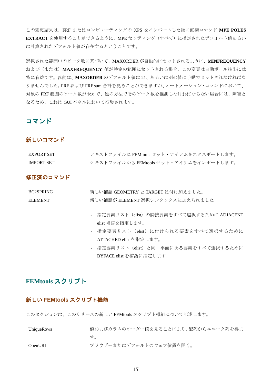この変更結果は、FRF またはコンピューティングの XPS をインポートした後に直接コマンド MPE POLES EXTRACT を使用することができるように、MPE セッティング (すべて) に指定されたデフォルト値あるい は計算されたデフォルト値が存在するということです。

選択された範囲中のピーク数に基づいて、MAXORDER が自動的にセットされるように、MINFREQUENCY および(または) MAXFREOUENCY 値が特定の範囲にセットされる場合、この変更は自動ポール抽出には 特に有益です。以前は、MAXORDER のデフォルト値は21、あるいは別の値に手動でセットされなければな りませんでした。FRF および FRF sum 合計を見ることができますが、オートメーション・コマンドにおいて、 対象のFRF 範囲のピーク数が未知で、他の方法でそのピーク数を推測しなければならない場合には、障害と なるため、これは GUI パネルにおいて推奨されます。

## コマンド

#### 新しいコマンド

| <b>EXPORT SET</b> | テキストファイルに FEMtools セット・アイテムをエクスポートします。 |
|-------------------|----------------------------------------|
| <b>IMPORT SET</b> | テキストファイルから FEMtools セット・アイテムをインポートします。 |

#### 修正済のコマンド

| BC2SPRING | 新しい補語 GEOMETRY と TARGET は付け加えました。 |
|-----------|-----------------------------------|
| ELEMENT.  | 新しい補語が ELEMENT 選択シンタックスに加えられました   |
|           |                                   |

- 指定要素リスト (elist) の隣接要素をすべて選択するために ADJACENT elist 補語を指定します。
- 指定要素リスト (elist) に付けられる要素をすべて選択するために ATTACHED elist を指定します。
- 指定要素リスト (elist) と同一平面にある要素をすべて選択するために BYFACE elist を補語に指定します。

# **FEMtools スクリプト**

#### 新しい FEMtools スクリプト機能

このセクションは、このリリースの新しい FEMtools スクリプト機能について記述します。

| UniqueRows | 値およびカラムのオーダー値を見ることにより、配列からユニーク列を得ま |
|------------|------------------------------------|
|            | す。                                 |
| OpenURL    | ブラウザーまたはデフォルトのウェブ位置を開く。            |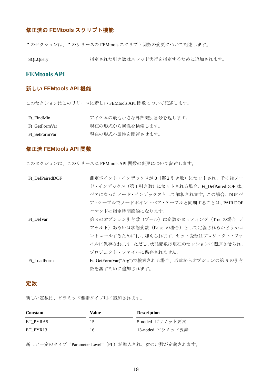# **修正済の FEMtools スクリプト機能**

このセクションは、このリリースの FEMtools スクリプト関数の変更について記述します。

SQLQuery 特定された引き数はスレッド実行を指定するために追加されます。

#### **FEMtools API**

#### 新しい **FEMtools API** 機能

このセクションはこのリリースに新しい FEMtools API 関数について記述します。

| Ft FindMin    | アイテムの最も小さな外部識別番号を返します。 |
|---------------|------------------------|
| Ft GetFormVar | 現在の形式から属性を検索します。       |
| Ft SetFormVar | 現在の形式へ属性を関連させます。       |

#### 修正済 **FEMtools API** 関数

このセクションは、このリリースに FEMtools API 関数の変更について記述します。

| Ft DefPairedDOF | 測定ポイント・インデックスが0(第2引き数)にセットされ、その後ノー           |
|-----------------|----------------------------------------------|
|                 | ド・インデックス(第1引き数)にセットされる場合、Ft DefPairedDOF は、  |
|                 | ペアになったノード・インデックスとして解釈されます。この場合、DOFペ          |
|                 | ア・テーブルでノードポイントペア・テーブルと同期することは、PAIR DOF       |
|                 | コマンドの指定時間節約になります。                            |
| Ft DefVar       | 第3のオプション引き数(ブール)は変数がセッティング (True の場合=デ       |
|                 | フォルト)あるいは状態変数(False の場合)として定義されるかどうかコ        |
|                 | ントロールするために付け加えられます。セット変数はプロジェクト・ファ           |
|                 | イルに保存されます。ただし、状態変数は現在のセッションに関連させられ、          |
|                 | プロジェクト・ファイルに保存されません。                         |
| Ft LoadForm     | Ft GetFormVar("Arg")で検索される場合、形式からオプションの第5の引き |
|                 | 数を渡すために追加されます。                               |

#### 定数

新しい定数は、ピラミッド要素タイプ用に追加されます。

| <b>Constant</b> | Value | <b>Description</b> |
|-----------------|-------|--------------------|
| ET PYRA5        |       | 5-noded ピラミッド要素    |
| ET PYR13        | 16    | - 13-noded ピラミッド要素 |

新しい一定のタイプ"Parameter Level" (PL) が導入され、次の定数が定義されます。